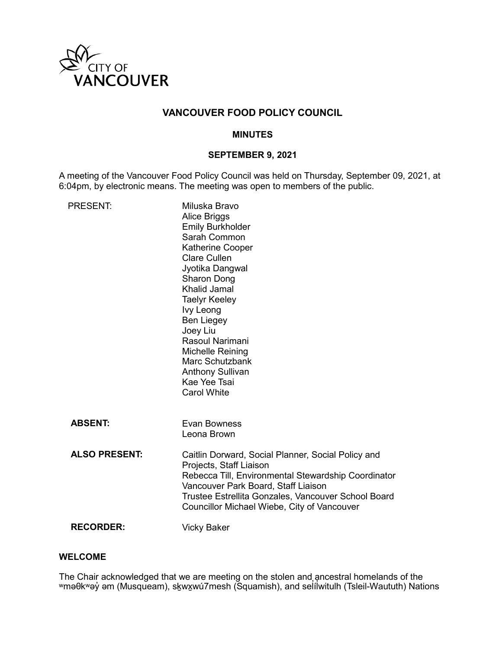

# **VANCOUVER FOOD POLICY COUNCIL**

## **MINUTES**

## **SEPTEMBER 9, 2021**

A meeting of the Vancouver Food Policy Council was held on Thursday, September 09, 2021, at 6:04pm, by electronic means. The meeting was open to members of the public.

| <b>PRESENT:</b>      | Miluska Bravo<br>Alice Briggs<br><b>Emily Burkholder</b><br>Sarah Common<br><b>Katherine Cooper</b><br><b>Clare Cullen</b><br>Jyotika Dangwal<br>Sharon Dong<br><b>Khalid Jamal</b><br><b>Taelyr Keeley</b><br>Ivy Leong<br><b>Ben Liegey</b><br>Joey Liu<br>Rasoul Narimani<br>Michelle Reining<br>Marc Schutzbank<br><b>Anthony Sullivan</b><br>Kae Yee Tsai<br><b>Carol White</b> |
|----------------------|--------------------------------------------------------------------------------------------------------------------------------------------------------------------------------------------------------------------------------------------------------------------------------------------------------------------------------------------------------------------------------------|
| <b>ABSENT:</b>       | Evan Bowness<br>Leona Brown                                                                                                                                                                                                                                                                                                                                                          |
| <b>ALSO PRESENT:</b> | Caitlin Dorward, Social Planner, Social Policy and<br>Projects, Staff Liaison<br>Rebecca Till, Environmental Stewardship Coordinator<br>Vancouver Park Board, Staff Liaison<br>Trustee Estrellita Gonzales, Vancouver School Board<br>Councillor Michael Wiebe, City of Vancouver                                                                                                    |
| <b>RECORDER:</b>     | <b>Vicky Baker</b>                                                                                                                                                                                                                                                                                                                                                                   |

## **WELCOME**

The Chair acknowledged that we are meeting on the stolen and ancestral homelands of the ʷməθkʷəy̓ əm (Musqueam), sḵwx̱wú7mesh (Squamish), and sel̓ íl̓ witulh (Tsleil-Waututh) Nations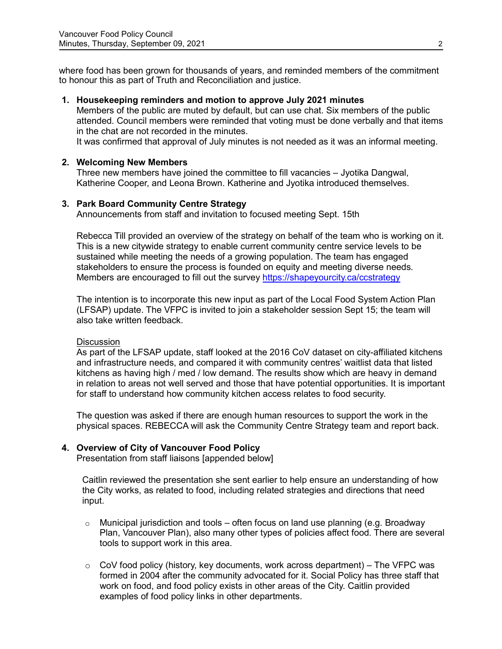where food has been grown for thousands of years, and reminded members of the commitment to honour this as part of Truth and Reconciliation and justice.

### **1. Housekeeping reminders and motion to approve July 2021 minutes**

Members of the public are muted by default, but can use chat. Six members of the public attended. Council members were reminded that voting must be done verbally and that items in the chat are not recorded in the minutes.

It was confirmed that approval of July minutes is not needed as it was an informal meeting.

#### **2. Welcoming New Members**

Three new members have joined the committee to fill vacancies – Jyotika Dangwal, Katherine Cooper, and Leona Brown. Katherine and Jyotika introduced themselves.

#### **3. Park Board [Community Centre Strategy](https://vancouver.ca/parks-recreation-culture/community-centre-strategy.aspx)**

Announcements from staff and invitation to focused meeting Sept. 15th

Rebecca Till provided an overview of the strategy on behalf of the team who is working on it. This is a new citywide strategy to enable current community centre service levels to be sustained while meeting the needs of a growing population. The team has engaged stakeholders to ensure the process is founded on equity and meeting diverse needs. Members are encouraged to fill out the survey <https://shapeyourcity.ca/ccstrategy>

The intention is to incorporate this new input as part of the Local Food System Action Plan (LFSAP) update. The VFPC is invited to join a stakeholder session Sept 15; the team will also take written feedback.

#### **Discussion**

As part of the LFSAP update, staff looked at the 2016 CoV dataset on city-affiliated kitchens and infrastructure needs, and compared it with community centres' waitlist data that listed kitchens as having high / med / low demand. The results show which are heavy in demand in relation to areas not well served and those that have potential opportunities. It is important for staff to understand how community kitchen access relates to food security.

The question was asked if there are enough human resources to support the work in the physical spaces. REBECCA will ask the Community Centre Strategy team and report back.

### **4. Overview of City of Vancouver Food Policy**

Presentation from staff liaisons [appended below]

Caitlin reviewed the presentation she sent earlier to help ensure an understanding of how the City works, as related to food, including related strategies and directions that need input.

- o Municipal jurisdiction and tools often focus on land use planning (e.g. Broadway Plan, Vancouver Plan), also many other types of policies affect food. There are several tools to support work in this area.
- $\circ$  CoV food policy (history, key documents, work across department) The VFPC was formed in 2004 after the community advocated for it. Social Policy has three staff that work on food, and food policy exists in other areas of the City. Caitlin provided examples of food policy links in other departments.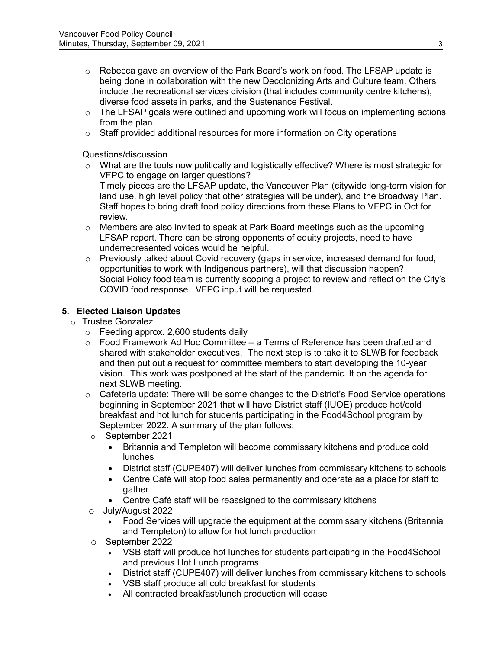- $\circ$  Rebecca gave an overview of the Park Board's work on food. The LFSAP update is being done in collaboration with the new Decolonizing Arts and Culture team. Others include the recreational services division (that includes community centre kitchens), diverse food assets in parks, and the Sustenance Festival.
- $\circ$  The LFSAP goals were outlined and upcoming work will focus on implementing actions from the plan.
- $\circ$  Staff provided additional resources for more information on City operations

Questions/discussion

 $\circ$  What are the tools now politically and logistically effective? Where is most strategic for VFPC to engage on larger questions?

Timely pieces are the LFSAP update, the Vancouver Plan (citywide long-term vision for land use, high level policy that other strategies will be under), and the Broadway Plan. Staff hopes to bring draft food policy directions from these Plans to VFPC in Oct for review.

- $\circ$  Members are also invited to speak at Park Board meetings such as the upcoming LFSAP report. There can be strong opponents of equity projects, need to have underrepresented voices would be helpful.
- $\circ$  Previously talked about Covid recovery (gaps in service, increased demand for food, opportunities to work with Indigenous partners), will that discussion happen? Social Policy food team is currently scoping a project to review and reflect on the City's COVID food response. VFPC input will be requested.

## **5. Elected Liaison Updates**

- o Trustee Gonzalez
	- o Feeding approx. 2,600 students daily
	- $\circ$  Food Framework Ad Hoc Committee a Terms of Reference has been drafted and shared with stakeholder executives. The next step is to take it to SLWB for feedback and then put out a request for committee members to start developing the 10-year vision. This work was postponed at the start of the pandemic. It on the agenda for next SLWB meeting.
	- $\circ$  Cafeteria update: There will be some changes to the District's Food Service operations beginning in September 2021 that will have District staff (IUOE) produce hot/cold breakfast and hot lunch for students participating in the Food4School program by September 2022. A summary of the plan follows:
		- o September 2021
			- Britannia and Templeton will become commissary kitchens and produce cold lunches
			- District staff (CUPE407) will deliver lunches from commissary kitchens to schools
			- Centre Café will stop food sales permanently and operate as a place for staff to gather
			- Centre Café staff will be reassigned to the commissary kitchens
	- o July/August 2022
		- Food Services will upgrade the equipment at the commissary kitchens (Britannia and Templeton) to allow for hot lunch production
	- o September 2022
		- VSB staff will produce hot lunches for students participating in the Food4School and previous Hot Lunch programs
		- District staff (CUPE407) will deliver lunches from commissary kitchens to schools
		- VSB staff produce all cold breakfast for students
		- All contracted breakfast/lunch production will cease